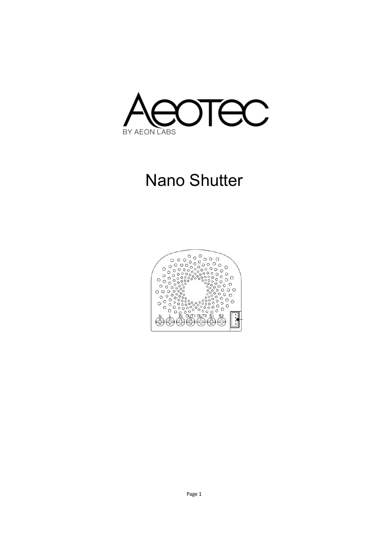

# Nano Shutter

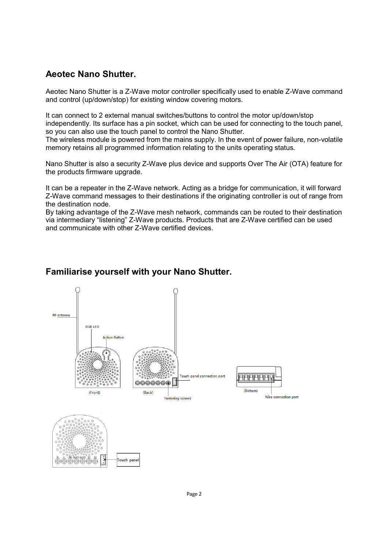## **Aeotec Nano Shutter.**

Aeotec Nano Shutter is a Z-Wave motor controller specifically used to enable Z-Wave command and control (up/down/stop) for existing window covering motors.

It can connect to 2 external manual switches/buttons to control the motor up/down/stop independently. Its surface has a pin socket, which can be used for connecting to the touch panel, so you can also use the touch panel to control the Nano Shutter.

The wireless module is powered from the mains supply. In the event of power failure, non-volatile memory retains all programmed information relating to the units operating status.

Nano Shutter is also a security Z-Wave plus device and supports Over The Air (OTA) feature for the products firmware upgrade.

It can be a repeater in the Z-Wave network. Acting as a bridge for communication, it will forward Z-Wave command messages to their destinations if the originating controller is out of range from the destination node.

By taking advantage of the Z-Wave mesh network, commands can be routed to their destination via intermediary "listening" Z-Wave products. Products that are Z-Wave certified can be used and communicate with other Z-Wave certified devices.

### **Familiarise yourself with your Nano Shutter.**

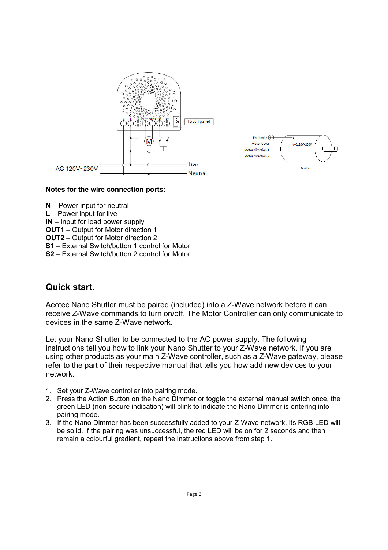



#### **Notes for the wire connection ports:**

**N –** Power input for neutral **L –** Power input for live **IN** – Input for load power supply **OUT1** – Output for Motor direction 1 **OUT2** – Output for Motor direction 2 **S1** – External Switch/button 1 control for Motor **S2** – External Switch/button 2 control for Motor

#### **Quick start.**

Aeotec Nano Shutter must be paired (included) into a Z-Wave network before it can receive Z-Wave commands to turn on/off. The Motor Controller can only communicate to devices in the same Z-Wave network.

Let your Nano Shutter to be connected to the AC power supply. The following instructions tell you how to link your Nano Shutter to your Z-Wave network. If you are using other products as your main Z-Wave controller, such as a Z-Wave gateway, please refer to the part of their respective manual that tells you how add new devices to your network.

- 1. Set your Z-Wave controller into pairing mode.
- 2. Press the Action Button on the Nano Dimmer or toggle the external manual switch once, the green LED (non-secure indication) will blink to indicate the Nano Dimmer is entering into pairing mode.
- 3. If the Nano Dimmer has been successfully added to your Z-Wave network, its RGB LED will be solid. If the pairing was unsuccessful, the red LED will be on for 2 seconds and then remain a colourful gradient, repeat the instructions above from step 1.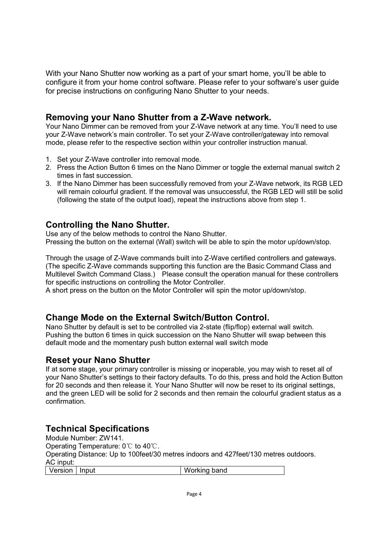With your Nano Shutter now working as a part of your smart home, you'll be able to configure it from your home control software. Please refer to your software's user guide for precise instructions on configuring Nano Shutter to your needs.

#### **Removing your Nano Shutter from a Z-Wave network.**

Your Nano Dimmer can be removed from your Z-Wave network at any time. You'll need to use your Z-Wave network's main controller. To set your Z-Wave controller/gateway into removal mode, please refer to the respective section within your controller instruction manual.

- 1. Set your Z-Wave controller into removal mode.
- 2. Press the Action Button 6 times on the Nano Dimmer or toggle the external manual switch 2 times in fast succession.
- 3. If the Nano Dimmer has been successfully removed from your Z-Wave network, its RGB LED will remain colourful gradient. If the removal was unsuccessful, the RGB LED will still be solid (following the state of the output load), repeat the instructions above from step 1.

### **Controlling the Nano Shutter.**

Use any of the below methods to control the Nano Shutter. Pressing the button on the external (Wall) switch will be able to spin the motor up/down/stop.

Through the usage of Z-Wave commands built into Z-Wave certified controllers and gateways. (The specific Z-Wave commands supporting this function are the Basic Command Class and Multilevel Switch Command Class.) Please consult the operation manual for these controllers for specific instructions on controlling the Motor Controller.

A short press on the button on the Motor Controller will spin the motor up/down/stop.

### **Change Mode on the External Switch/Button Control.**

Nano Shutter by default is set to be controlled via 2-state (flip/flop) external wall switch. Pushing the button 6 times in quick succession on the Nano Shutter will swap between this default mode and the momentary push button external wall switch mode

#### **Reset your Nano Shutter**

If at some stage, your primary controller is missing or inoperable, you may wish to reset all of your Nano Shutter's settings to their factory defaults. To do this, press and hold the Action Button for 20 seconds and then release it. Your Nano Shutter will now be reset to its original settings, and the green LED will be solid for 2 seconds and then remain the colourful gradient status as a confirmation.

### **Technical Specifications**

Module Number: ZW141. Operating Temperature: 0℃ to 40℃. Operating Distance: Up to 100feet/30 metres indoors and 427feet/130 metres outdoors. AC input: Version | Input | Working band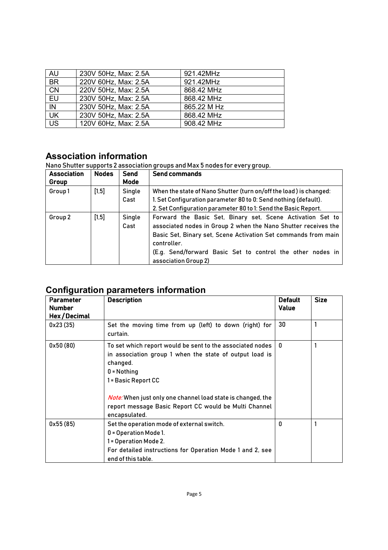| <b>AU</b> | 230V 50Hz, Max: 2.5A | 921.42MHz   |
|-----------|----------------------|-------------|
| <b>BR</b> | 220V 60Hz, Max: 2.5A | 921.42MHz   |
| <b>CN</b> | 220V 50Hz, Max: 2.5A | 868.42 MHz  |
| EU        | 230V 50Hz, Max: 2.5A | 868.42 MHz  |
| IN        | 230V 50Hz, Max: 2.5A | 865.22 M Hz |
| UK        | 230V 50Hz, Max: 2.5A | 868.42 MHz  |
| <b>US</b> | 120V 60Hz, Max: 2.5A | 908.42 MHz  |

# **Association information**

Nano Shutter supports 2 association groups and Max 5 nodes for every group.

| <b>Association</b><br>Group | <b>Nodes</b> | <b>Send</b><br>Mode | Send commands                                                                                                                                                                                                                                                                                       |
|-----------------------------|--------------|---------------------|-----------------------------------------------------------------------------------------------------------------------------------------------------------------------------------------------------------------------------------------------------------------------------------------------------|
| Group1                      | $[1,5]$      | Single<br>Cast      | When the state of Nano Shutter (turn on/off the load) is changed:<br>1. Set Configuration parameter 80 to 0: Send nothing (default).<br>2. Set Configuration parameter 80 to 1: Send the Basic Report.                                                                                              |
| Group 2                     | $[1,5]$      | Single<br>Cast      | Forward the Basic Set, Binary set, Scene Activation Set to<br>associated nodes in Group 2 when the Nano Shutter receives the<br>Basic Set, Binary set, Scene Activation Set commands from main<br>controller.<br>(E.g. Send/forward Basic Set to control the other nodes in<br>association Group 2) |

# **Configuration parameters information**

| <b>Parameter</b><br><b>Number</b><br>Hex/Decimal | <b>Description</b>                                                                                                                                                                                                                                                                                                       | <b>Default</b><br><b>Value</b> | <b>Size</b> |
|--------------------------------------------------|--------------------------------------------------------------------------------------------------------------------------------------------------------------------------------------------------------------------------------------------------------------------------------------------------------------------------|--------------------------------|-------------|
| 0x23(35)                                         | Set the moving time from up (left) to down (right) for<br>curtain.                                                                                                                                                                                                                                                       | 30                             |             |
| 0x50(80)                                         | To set which report would be sent to the associated nodes<br>in association group 1 when the state of output load is<br>changed.<br>$0 = \text{Nothing}$<br>1 = Basic Report CC<br>Note: When just only one channel load state is changed, the<br>report message Basic Report CC would be Multi Channel<br>encapsulated. | 0                              |             |
| 0x55(85)                                         | Set the operation mode of external switch.<br>0 = Operation Mode 1.<br>1 = Operation Mode 2.<br>For detailed instructions for Operation Mode 1 and 2, see<br>end of this table.                                                                                                                                          | 0                              |             |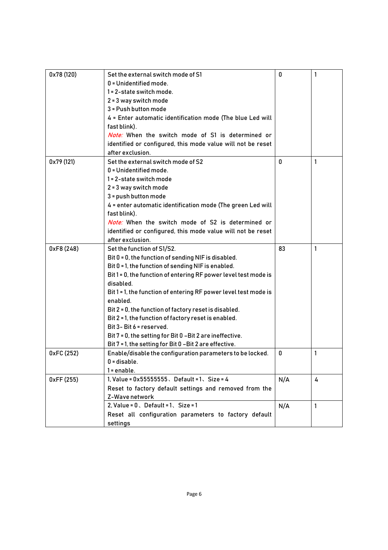| 0x78 (120) | Set the external switch mode of S1                              | 0   | 1 |
|------------|-----------------------------------------------------------------|-----|---|
|            | 0 = Unidentified mode.                                          |     |   |
|            | 1 = 2-state switch mode.                                        |     |   |
|            | 2 = 3 way switch mode                                           |     |   |
|            | 3 = Push button mode                                            |     |   |
|            | 4 = Enter automatic identification mode (The blue Led will      |     |   |
|            | fast blink).                                                    |     |   |
|            | Note: When the switch mode of S1 is determined or               |     |   |
|            | identified or configured, this mode value will not be reset     |     |   |
|            | after exclusion.                                                |     |   |
| 0x79 (121) | Set the external switch mode of S2                              | 0   | 1 |
|            | 0 = Unidentified mode.                                          |     |   |
|            | 1 = 2-state switch mode                                         |     |   |
|            | 2 = 3 way switch mode                                           |     |   |
|            | 3 = push button mode                                            |     |   |
|            | 4 = enter automatic identification mode (The green Led will     |     |   |
|            | fast blink).                                                    |     |   |
|            | <i>Note:</i> When the switch mode of S2 is determined or        |     |   |
|            | identified or configured, this mode value will not be reset     |     |   |
|            | after exclusion.                                                |     |   |
| 0xF8 (248) | Set the function of S1/S2.                                      | 83  | 1 |
|            | Bit 0 = 0, the function of sending NIF is disabled.             |     |   |
|            | Bit 0 = 1, the function of sending NIF is enabled.              |     |   |
|            | Bit 1 = 0, the function of entering RF power level test mode is |     |   |
|            | disabled.                                                       |     |   |
|            | Bit 1 = 1, the function of entering RF power level test mode is |     |   |
|            | enabled.                                                        |     |   |
|            | Bit 2 = 0, the function of factory reset is disabled.           |     |   |
|            | Bit 2 = 1, the function of factory reset is enabled.            |     |   |
|            | Bit 3- Bit 6 = reserved.                                        |     |   |
|            | Bit 7 = 0, the setting for Bit 0 -Bit 2 are ineffective.        |     |   |
|            | Bit 7 = 1, the setting for Bit 0 - Bit 2 are effective.         |     |   |
| 0xFC (252) | Enable/disable the configuration parameters to be locked.       | 0   | 1 |
|            | $0 =$ disable.                                                  |     |   |
|            | $1 =$ enable.                                                   |     |   |
| 0xFF(255)  | 1, Value = $0x55555555$ . Default = 1. Size = 4                 | N/A | 4 |
|            | Reset to factory default settings and removed from the          |     |   |
|            | Z-Wave network                                                  |     |   |
|            | 2, Value = $0.$ Default = $1.$ Size = $1.$                      | N/A | 1 |
|            | Reset all configuration parameters to factory default           |     |   |
|            | settings                                                        |     |   |